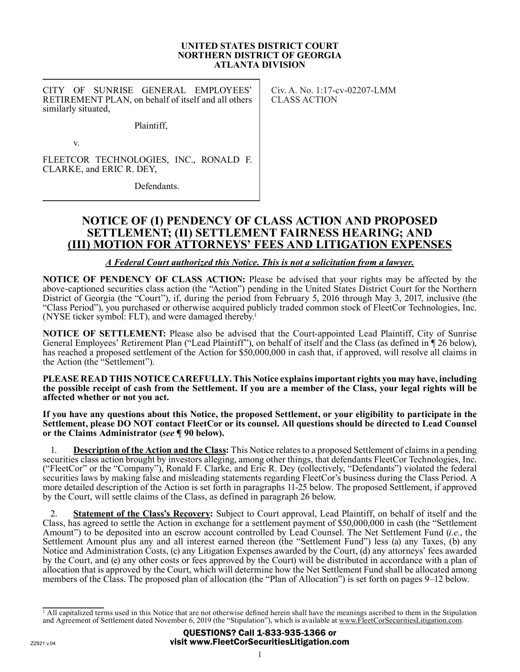#### **UNITED STATES DISTRICT COURT NORTHERN DISTRICT OF GEORGIA ATLANTA DIVISION**

CITY OF SUNRISE GENERAL EMPLOYEES' RETIREMENT PLAN, on behalf of itself and all others similarly situated,

Civ. A. No. 1:17-cv-02207-LMM CLASS ACTION

Plaintiff,

v.

FLEETCOR TECHNOLOGIES, INC., RONALD F. CLARKE, and ERIC R. DEY,

Defendants.

# **NOTICE OF (I) PENDENCY OF CLASS ACTION AND PROPOSED SETTLEMENT; (II) SETTLEMENT FAIRNESS HEARING; AND (III) MOTION FOR ATTORNEYS' FEES AND LITIGATION EXPENSES**

*A Federal Court authorized this Notice. This is not a solicitation from a lawyer.*

**NOTICE OF PENDENCY OF CLASS ACTION:** Please be advised that your rights may be affected by the above-captioned securities class action (the "Action") pending in the United States District Court for the Northern District of Georgia (the "Court"), if, during the period from February 5, 2016 through May 3, 2017, inclusive (the "Class Period"), you purchased or otherwise acquired publicly traded common stock of FleetCor Technologies, Inc. (NYSE ticker symbol: FLT), and were damaged thereby.1

**NOTICE OF SETTLEMENT:** Please also be advised that the Court-appointed Lead Plaintiff, City of Sunrise General Employees' Retirement Plan ("Lead Plaintiff"), on behalf of itself and the Class (as defined in  $\P$  26 below), has reached a proposed settlement of the Action for \$50,000,000 in cash that, if approved, will resolve all claims in the Action (the "Settlement").

**PLEASE READ THIS NOTICE CAREFULLY. This Notice explains important rights you may have, including the possible receipt of cash from the Settlement. If you are a member of the Class, your legal rights will be affected whether or not you act.**

**If you have any questions about this Notice, the proposed Settlement, or your eligibility to participate in the Settlement, please DO NOT contact FleetCor or its counsel. All questions should be directed to Lead Counsel or the Claims Administrator (***see* **¶ 90 below).**

1. **Description of the Action and the Class:** This Notice relates to a proposed Settlement of claims in a pending securities class action brought by investors alleging, among other things, that defendants FleetCor Technologies, Inc. ("FleetCor" or the "Company"), Ronald F. Clarke, and Eric R. Dey (collectively, "Defendants") violated the federal securities laws by making false and misleading statements regarding FleetCor's business during the Class Period. A more detailed description of the Action is set forth in paragraphs 11-25 below. The proposed Settlement, if approved by the Court, will settle claims of the Class, as defined in paragraph 26 below.

2. **Statement of the Class's Recovery:** Subject to Court approval, Lead Plaintiff, on behalf of itself and the Class, has agreed to settle the Action in exchange for a settlement payment of \$50,000,000 in cash (the "Settlement Amount") to be deposited into an escrow account controlled by Lead Counsel. The Net Settlement Fund (*i.e.*, the Settlement Amount plus any and all interest earned thereon (the "Settlement Fund") less (a) any Taxes, (b) any Notice and Administration Costs, (c) any Litigation Expenses awarded by the Court, (d) any attorneys' fees awarded by the Court, and (e) any other costs or fees approved by the Court) will be distributed in accordance with a plan of allocation that is approved by the Court, which will determine how the Net Settlement Fund shall be allocated among members of the Class. The proposed plan of allocation (the "Plan of Allocation") is set forth on pages 9–12 below.

<sup>&</sup>lt;sup>1</sup> All capitalized terms used in this Notice that are not otherwise defined herein shall have the meanings ascribed to them in the Stipulation and Agreement of Settlement dated November 6, 2019 (the "Stipulation"), which is available at www.FleetCorSecuritiesLitigation.com.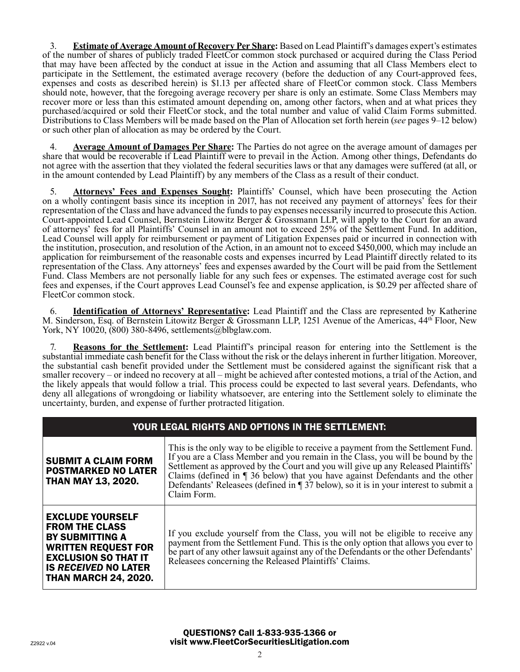3. **Estimate of Average Amount of Recovery Per Share:** Based on Lead Plaintiff's damages expert's estimates of the number of shares of publicly traded FleetCor common stock purchased or acquired during the Class Period that may have been affected by the conduct at issue in the Action and assuming that all Class Members elect to participate in the Settlement, the estimated average recovery (before the deduction of any Court-approved fees, expenses and costs as described herein) is \$1.13 per affected share of FleetCor common stock. Class Members should note, however, that the foregoing average recovery per share is only an estimate. Some Class Members may recover more or less than this estimated amount depending on, among other factors, when and at what prices they purchased/acquired or sold their FleetCor stock, and the total number and value of valid Claim Forms submitted. Distributions to Class Members will be made based on the Plan of Allocation set forth herein (*see* pages 9–12 below) or such other plan of allocation as may be ordered by the Court.

4. **Average Amount of Damages Per Share:** The Parties do not agree on the average amount of damages per share that would be recoverable if Lead Plaintiff were to prevail in the Action. Among other things, Defendants do not agree with the assertion that they violated the federal securities laws or that any damages were suffered (at all, or in the amount contended by Lead Plaintiff) by any members of the Class as a result of their conduct.

5. **Attorneys' Fees and Expenses Sought:** Plaintiffs' Counsel, which have been prosecuting the Action on a wholly contingent basis since its inception in 2017, has not received any payment of attorneys' fees for their representation of the Class and have advanced the funds to pay expenses necessarily incurred to prosecute this Action. Court-appointed Lead Counsel, Bernstein Litowitz Berger & Grossmann LLP, will apply to the Court for an award of attorneys' fees for all Plaintiffs' Counsel in an amount not to exceed 25% of the Settlement Fund. In addition, Lead Counsel will apply for reimbursement or payment of Litigation Expenses paid or incurred in connection with the institution, prosecution, and resolution of the Action, in an amount not to exceed \$450,000, which may include an application for reimbursement of the reasonable costs and expenses incurred by Lead Plaintiff directly related to its representation of the Class. Any attorneys' fees and expenses awarded by the Court will be paid from the Settlement Fund. Class Members are not personally liable for any such fees or expenses. The estimated average cost for such fees and expenses, if the Court approves Lead Counsel's fee and expense application, is \$0.29 per affected share of FleetCor common stock.

6. **Identification of Attorneys' Representative:** Lead Plaintiff and the Class are represented by Katherine M. Sinderson, Esq. of Bernstein Litowitz Berger & Grossmann LLP, 1251 Avenue of the Americas, 44<sup>th</sup> Floor, New York, NY 10020, (800) 380-8496, settlements@blbglaw.com.

7. **Reasons for the Settlement:** Lead Plaintiff's principal reason for entering into the Settlement is the substantial immediate cash benefit for the Class without the risk or the delays inherent in further litigation. Moreover, the substantial cash benefit provided under the Settlement must be considered against the significant risk that a smaller recovery – or indeed no recovery at all – might be achieved after contested motions, a trial of the Action, and the likely appeals that would follow a trial. This process could be expected to last several years. Defendants, who deny all allegations of wrongdoing or liability whatsoever, are entering into the Settlement solely to eliminate the uncertainty, burden, and expense of further protracted litigation.

| YOUR LEGAL RIGHTS AND OPTIONS IN THE SETTLEMENT:                                                                                                                                                      |                                                                                                                                                                                                                                                                                                                                                                                                                                                      |  |  |  |  |
|-------------------------------------------------------------------------------------------------------------------------------------------------------------------------------------------------------|------------------------------------------------------------------------------------------------------------------------------------------------------------------------------------------------------------------------------------------------------------------------------------------------------------------------------------------------------------------------------------------------------------------------------------------------------|--|--|--|--|
| <b>SUBMIT A CLAIM FORM</b><br><b>POSTMARKED NO LATER</b><br><b>THAN MAY 13, 2020.</b>                                                                                                                 | This is the only way to be eligible to receive a payment from the Settlement Fund.<br>If you are a Class Member and you remain in the Class, you will be bound by the<br>Settlement as approved by the Court and you will give up any Released Plaintiffs'<br>Claims (defined in $\P$ 36 below) that you have against Defendants and the other<br>Defendants' Releasees (defined in 137 below), so it is in your interest to submit a<br>Claim Form. |  |  |  |  |
| <b>EXCLUDE YOURSELF</b><br><b>FROM THE CLASS</b><br><b>BY SUBMITTING A</b><br><b>WRITTEN REQUEST FOR</b><br><b>EXCLUSION SO THAT IT</b><br><b>IS RECEIVED NO LATER</b><br><b>THAN MARCH 24, 2020.</b> | If you exclude yourself from the Class, you will not be eligible to receive any<br>payment from the Settlement Fund. This is the only option that allows you ever to<br>be part of any other lawsuit against any of the Defendants or the other Defendants'<br>Releasees concerning the Released Plaintiffs' Claims.                                                                                                                                 |  |  |  |  |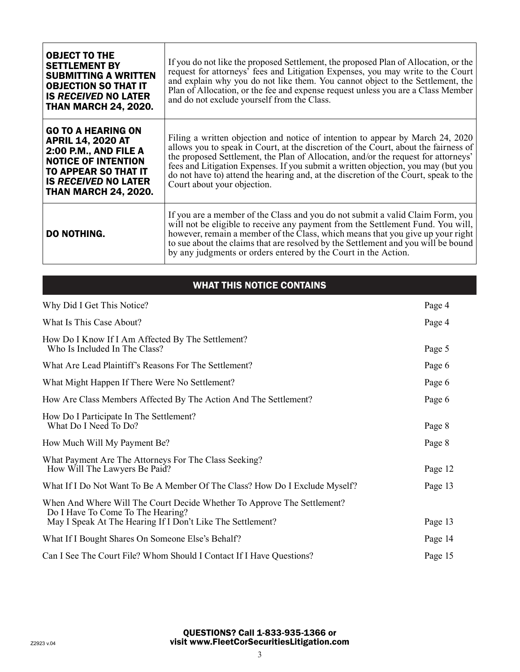| <b>OBJECT TO THE</b><br><b>SETTLEMENT BY</b><br><b>SUBMITTING A WRITTEN</b><br><b>OBJECTION SO THAT IT</b><br><b>IS RECEIVED NO LATER</b><br><b>THAN MARCH 24, 2020.</b>                                  | If you do not like the proposed Settlement, the proposed Plan of Allocation, or the<br>request for attorneys' fees and Litigation Expenses, you may write to the Court<br>and explain why you do not like them. You cannot object to the Settlement, the<br>Plan of Allocation, or the fee and expense request unless you are a Class Member<br>and do not exclude yourself from the Class.                                                                             |
|-----------------------------------------------------------------------------------------------------------------------------------------------------------------------------------------------------------|-------------------------------------------------------------------------------------------------------------------------------------------------------------------------------------------------------------------------------------------------------------------------------------------------------------------------------------------------------------------------------------------------------------------------------------------------------------------------|
| <b>GO TO A HEARING ON</b><br><b>APRIL 14, 2020 AT</b><br>2:00 P.M., AND FILE A<br><b>NOTICE OF INTENTION</b><br><b>TO APPEAR SO THAT IT</b><br><b>IS RECEIVED NO LATER</b><br><b>THAN MARCH 24, 2020.</b> | Filing a written objection and notice of intention to appear by March 24, 2020<br>allows you to speak in Court, at the discretion of the Court, about the fairness of<br>the proposed Settlement, the Plan of Allocation, and/or the request for attorneys'<br>fees and Litigation Expenses. If you submit a written objection, you may (but you<br>do not have to) attend the hearing and, at the discretion of the Court, speak to the<br>Court about your objection. |
| <b>DO NOTHING.</b>                                                                                                                                                                                        | If you are a member of the Class and you do not submit a valid Claim Form, you<br>will not be eligible to receive any payment from the Settlement Fund. You will,<br>however, remain a member of the Class, which means that you give up your right<br>to sue about the claims that are resolved by the Settlement and you will be bound<br>by any judgments or orders entered by the Court in the Action.                                                              |

# WHAT THIS NOTICE CONTAINS

| Why Did I Get This Notice?                                                                                   | Page 4  |
|--------------------------------------------------------------------------------------------------------------|---------|
| What Is This Case About?                                                                                     | Page 4  |
| How Do I Know If I Am Affected By The Settlement?<br>Who Is Included In The Class?                           | Page 5  |
| What Are Lead Plaintiff's Reasons For The Settlement?                                                        | Page 6  |
| What Might Happen If There Were No Settlement?                                                               | Page 6  |
| How Are Class Members Affected By The Action And The Settlement?                                             | Page 6  |
| How Do I Participate In The Settlement?<br>What Do I Need To Do?                                             | Page 8  |
| How Much Will My Payment Be?                                                                                 | Page 8  |
| What Payment Are The Attorneys For The Class Seeking?<br>How Will The Lawyers Be Paid?                       | Page 12 |
| What If I Do Not Want To Be A Member Of The Class? How Do I Exclude Myself?                                  | Page 13 |
| When And Where Will The Court Decide Whether To Approve The Settlement?<br>Do I Have To Come To The Hearing? |         |
| May I Speak At The Hearing If I Don't Like The Settlement?                                                   | Page 13 |
| What If I Bought Shares On Someone Else's Behalf?                                                            | Page 14 |
| Can I See The Court File? Whom Should I Contact If I Have Questions?                                         | Page 15 |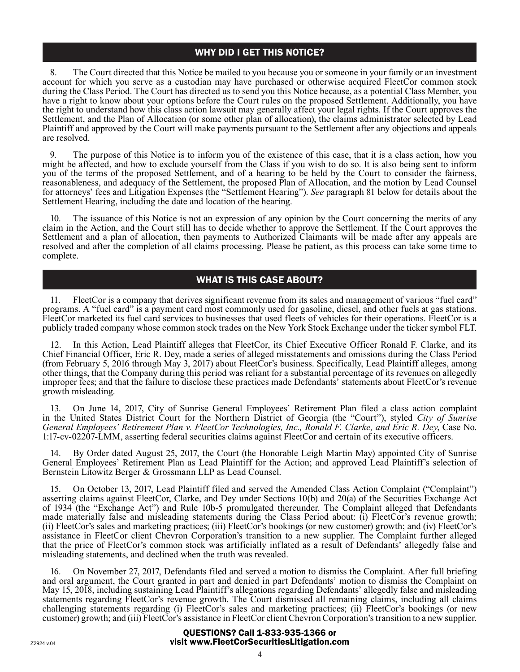# WHY DID I GET THIS NOTICE?

8. The Court directed that this Notice be mailed to you because you or someone in your family or an investment account for which you serve as a custodian may have purchased or otherwise acquired FleetCor common stock during the Class Period. The Court has directed us to send you this Notice because, as a potential Class Member, you have a right to know about your options before the Court rules on the proposed Settlement. Additionally, you have the right to understand how this class action lawsuit may generally affect your legal rights. If the Court approves the Settlement, and the Plan of Allocation (or some other plan of allocation), the claims administrator selected by Lead Plaintiff and approved by the Court will make payments pursuant to the Settlement after any objections and appeals are resolved.

9. The purpose of this Notice is to inform you of the existence of this case, that it is a class action, how you might be affected, and how to exclude yourself from the Class if you wish to do so. It is also being sent to inform you of the terms of the proposed Settlement, and of a hearing to be held by the Court to consider the fairness, reasonableness, and adequacy of the Settlement, the proposed Plan of Allocation, and the motion by Lead Counsel for attorneys' fees and Litigation Expenses (the "Settlement Hearing"). *See* paragraph 81 below for details about the Settlement Hearing, including the date and location of the hearing.

10. The issuance of this Notice is not an expression of any opinion by the Court concerning the merits of any claim in the Action, and the Court still has to decide whether to approve the Settlement. If the Court approves the Settlement and a plan of allocation, then payments to Authorized Claimants will be made after any appeals are resolved and after the completion of all claims processing. Please be patient, as this process can take some time to complete.

# WHAT IS THIS CASE ABOUT?

11. FleetCor is a company that derives significant revenue from its sales and management of various "fuel card" programs. A "fuel card" is a payment card most commonly used for gasoline, diesel, and other fuels at gas stations. FleetCor marketed its fuel card services to businesses that used fleets of vehicles for their operations. FleetCor is a publicly traded company whose common stock trades on the New York Stock Exchange under the ticker symbol FLT.

12. In this Action, Lead Plaintiff alleges that FleetCor, its Chief Executive Officer Ronald F. Clarke, and its Chief Financial Officer, Eric R. Dey, made a series of alleged misstatements and omissions during the Class Period (from February 5, 2016 through May 3, 2017) about FleetCor's business. Specifically, Lead Plaintiff alleges, among other things, that the Company during this period was reliant for a substantial percentage of its revenues on allegedly improper fees; and that the failure to disclose these practices made Defendants' statements about FleetCor's revenue growth misleading.

13. On June 14, 2017, City of Sunrise General Employees' Retirement Plan filed a class action complaint in the United States District Court for the Northern District of Georgia (the "Court"), styled *City of Sunrise General Employees' Retirement Plan v. FleetCor Technologies, Inc., Ronald F. Clarke, and Eric R. Dey*, Case No. 1:17-cv-02207-LMM, asserting federal securities claims against FleetCor and certain of its executive officers.

14. By Order dated August 25, 2017, the Court (the Honorable Leigh Martin May) appointed City of Sunrise General Employees' Retirement Plan as Lead Plaintiff for the Action; and approved Lead Plaintiff's selection of Bernstein Litowitz Berger & Grossmann LLP as Lead Counsel.

15. On October 13, 2017, Lead Plaintiff filed and served the Amended Class Action Complaint ("Complaint") asserting claims against FleetCor, Clarke, and Dey under Sections 10(b) and 20(a) of the Securities Exchange Act of 1934 (the "Exchange Act") and Rule 10b-5 promulgated thereunder. The Complaint alleged that Defendants made materially false and misleading statements during the Class Period about: (i) FleetCor's revenue growth; (ii) FleetCor's sales and marketing practices; (iii) FleetCor's bookings (or new customer) growth; and (iv) FleetCor's assistance in FleetCor client Chevron Corporation's transition to a new supplier. The Complaint further alleged that the price of FleetCor's common stock was artificially inflated as a result of Defendants' allegedly false and misleading statements, and declined when the truth was revealed.

16. On November 27, 2017, Defendants filed and served a motion to dismiss the Complaint. After full briefing and oral argument, the Court granted in part and denied in part Defendants' motion to dismiss the Complaint on May 15, 2018, including sustaining Lead Plaintiff's allegations regarding Defendants' allegedly false and misleading statements regarding FleetCor's revenue growth. The Court dismissed all remaining claims, including all claims challenging statements regarding (i) FleetCor's sales and marketing practices; (ii) FleetCor's bookings (or new customer) growth; and (iii) FleetCor's assistance in FleetCor client Chevron Corporation's transition to a new supplier.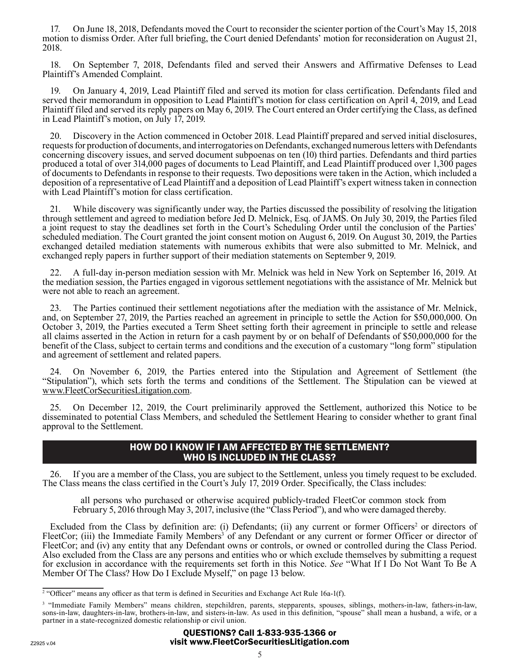17. On June 18, 2018, Defendants moved the Court to reconsider the scienter portion of the Court's May 15, 2018 motion to dismiss Order. After full briefing, the Court denied Defendants' motion for reconsideration on August 21, 2018.

18. On September 7, 2018, Defendants filed and served their Answers and Affirmative Defenses to Lead Plaintiff's Amended Complaint.

19. On January 4, 2019, Lead Plaintiff filed and served its motion for class certification. Defendants filed and served their memorandum in opposition to Lead Plaintiff's motion for class certification on April 4, 2019, and Lead Plaintiff filed and served its reply papers on May 6, 2019. The Court entered an Order certifying the Class, as defined in Lead Plaintiff's motion, on July 17, 2019.

20. Discovery in the Action commenced in October 2018. Lead Plaintiff prepared and served initial disclosures, requests for production of documents, and interrogatories on Defendants, exchanged numerous letters with Defendants concerning discovery issues, and served document subpoenas on ten (10) third parties. Defendants and third parties produced a total of over 314,000 pages of documents to Lead Plaintiff, and Lead Plaintiff produced over 1,300 pages of documents to Defendants in response to their requests. Two depositions were taken in the Action, which included a deposition of a representative of Lead Plaintiff and a deposition of Lead Plaintiff's expert witness taken in connection with Lead Plaintiff's motion for class certification.

21. While discovery was significantly under way, the Parties discussed the possibility of resolving the litigation through settlement and agreed to mediation before Jed D. Melnick, Esq. of JAMS. On July 30, 2019, the Parties filed a joint request to stay the deadlines set forth in the Court's Scheduling Order until the conclusion of the Parties' scheduled mediation. The Court granted the joint consent motion on August 6, 2019. On August 30, 2019, the Parties exchanged detailed mediation statements with numerous exhibits that were also submitted to Mr. Melnick, and exchanged reply papers in further support of their mediation statements on September 9, 2019.

22. A full-day in-person mediation session with Mr. Melnick was held in New York on September 16, 2019. At the mediation session, the Parties engaged in vigorous settlement negotiations with the assistance of Mr. Melnick but were not able to reach an agreement.

23. The Parties continued their settlement negotiations after the mediation with the assistance of Mr. Melnick, and, on September 27, 2019, the Parties reached an agreement in principle to settle the Action for \$50,000,000. On October 3, 2019, the Parties executed a Term Sheet setting forth their agreement in principle to settle and release all claims asserted in the Action in return for a cash payment by or on behalf of Defendants of \$50,000,000 for the benefit of the Class, subject to certain terms and conditions and the execution of a customary "long form" stipulation and agreement of settlement and related papers.

24. On November 6, 2019, the Parties entered into the Stipulation and Agreement of Settlement (the "Stipulation"), which sets forth the terms and conditions of the Settlement. The Stipulation can be viewed at www.FleetCorSecuritiesLitigation.com.

25. On December 12, 2019, the Court preliminarily approved the Settlement, authorized this Notice to be disseminated to potential Class Members, and scheduled the Settlement Hearing to consider whether to grant final approval to the Settlement.

# HOW DO I KNOW IF I AM AFFECTED BY THE SETTLEMENT? WHO IS INCLUDED IN THE CLASS?

26. If you are a member of the Class, you are subject to the Settlement, unless you timely request to be excluded. The Class means the class certified in the Court's July 17, 2019 Order. Specifically, the Class includes:

all persons who purchased or otherwise acquired publicly-traded FleetCor common stock from February 5, 2016 through May 3, 2017, inclusive (the "Class Period"), and who were damaged thereby.

Excluded from the Class by definition are: (i) Defendants; (ii) any current or former Officers<sup>2</sup> or directors of FleetCor; (iii) the Immediate Family Members<sup>3</sup> of any Defendant or any current or former Officer or director of FleetCor; and (iv) any entity that any Defendant owns or controls, or owned or controlled during the Class Period. Also excluded from the Class are any persons and entities who or which exclude themselves by submitting a request for exclusion in accordance with the requirements set forth in this Notice. *See* "What If I Do Not Want To Be A Member Of The Class? How Do I Exclude Myself," on page 13 below.

<sup>&</sup>lt;sup>2</sup> "Officer" means any officer as that term is defined in Securities and Exchange Act Rule 16a-1(f).

<sup>&</sup>lt;sup>3</sup> "Immediate Family Members" means children, stepchildren, parents, stepparents, spouses, siblings, mothers-in-law, fathers-in-law, sons-in-law, daughters-in-law, brothers-in-law, and sisters-in-law. As used in this definition, "spouse" shall mean a husband, a wife, or a partner in a state-recognized domestic relationship or civil union.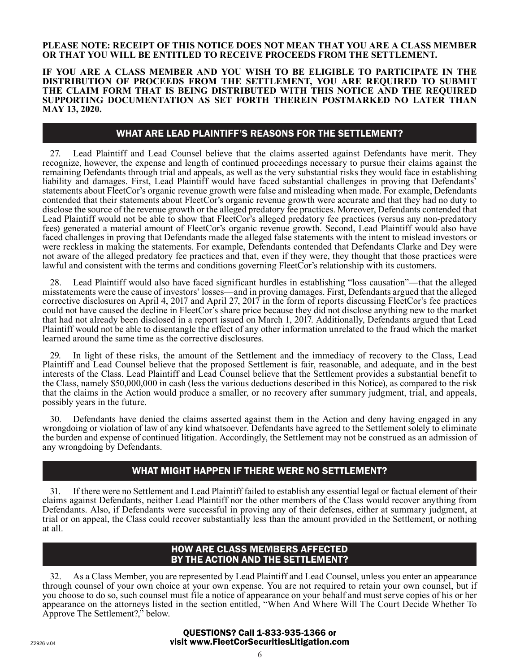#### **PLEASE NOTE: RECEIPT OF THIS NOTICE DOES NOT MEAN THAT YOU ARE A CLASS MEMBER OR THAT YOU WILL BE ENTITLED TO RECEIVE PROCEEDS FROM THE SETTLEMENT.**

#### **IF YOU ARE A CLASS MEMBER AND YOU WISH TO BE ELIGIBLE TO PARTICIPATE IN THE DISTRIBUTION OF PROCEEDS FROM THE SETTLEMENT, YOU ARE REQUIRED TO SUBMIT THE CLAIM FORM THAT IS BEING DISTRIBUTED WITH THIS NOTICE AND THE REQUIRED SUPPORTING DOCUMENTATION AS SET FORTH THEREIN POSTMARKED NO LATER THAN MAY 13, 2020.**

# WHAT ARE LEAD PLAINTIFF'S REASONS FOR THE SETTLEMENT?

27. Lead Plaintiff and Lead Counsel believe that the claims asserted against Defendants have merit. They recognize, however, the expense and length of continued proceedings necessary to pursue their claims against the remaining Defendants through trial and appeals, as well as the very substantial risks they would face in establishing liability and damages. First, Lead Plaintiff would have faced substantial challenges in proving that Defendants' statements about FleetCor's organic revenue growth were false and misleading when made. For example, Defendants contended that their statements about FleetCor's organic revenue growth were accurate and that they had no duty to disclose the source of the revenue growth or the alleged predatory fee practices. Moreover, Defendants contended that Lead Plaintiff would not be able to show that FleetCor's alleged predatory fee practices (versus any non-predatory fees) generated a material amount of FleetCor's organic revenue growth. Second, Lead Plaintiff would also have faced challenges in proving that Defendants made the alleged false statements with the intent to mislead investors or were reckless in making the statements. For example, Defendants contended that Defendants Clarke and Dey were not aware of the alleged predatory fee practices and that, even if they were, they thought that those practices were lawful and consistent with the terms and conditions governing FleetCor's relationship with its customers.

28. Lead Plaintiff would also have faced significant hurdles in establishing "loss causation"—that the alleged misstatements were the cause of investors' losses—and in proving damages. First, Defendants argued that the alleged corrective disclosures on April 4, 2017 and April 27, 2017 in the form of reports discussing FleetCor's fee practices could not have caused the decline in FleetCor's share price because they did not disclose anything new to the market that had not already been disclosed in a report issued on March 1, 2017. Additionally, Defendants argued that Lead Plaintiff would not be able to disentangle the effect of any other information unrelated to the fraud which the market learned around the same time as the corrective disclosures.

29. In light of these risks, the amount of the Settlement and the immediacy of recovery to the Class, Lead Plaintiff and Lead Counsel believe that the proposed Settlement is fair, reasonable, and adequate, and in the best interests of the Class. Lead Plaintiff and Lead Counsel believe that the Settlement provides a substantial benefit to the Class, namely \$50,000,000 in cash (less the various deductions described in this Notice), as compared to the risk that the claims in the Action would produce a smaller, or no recovery after summary judgment, trial, and appeals, possibly years in the future.

30. Defendants have denied the claims asserted against them in the Action and deny having engaged in any wrongdoing or violation of law of any kind whatsoever. Defendants have agreed to the Settlement solely to eliminate the burden and expense of continued litigation. Accordingly, the Settlement may not be construed as an admission of any wrongdoing by Defendants.

# WHAT MIGHT HAPPEN IF THERE WERE NO SETTLEMENT?

31. If there were no Settlement and Lead Plaintiff failed to establish any essential legal or factual element of their claims against Defendants, neither Lead Plaintiff nor the other members of the Class would recover anything from Defendants. Also, if Defendants were successful in proving any of their defenses, either at summary judgment, at trial or on appeal, the Class could recover substantially less than the amount provided in the Settlement, or nothing at all.

# HOW ARE CLASS MEMBERS AFFECTED BY THE ACTION AND THE SETTLEMENT?

32. As a Class Member, you are represented by Lead Plaintiff and Lead Counsel, unless you enter an appearance through counsel of your own choice at your own expense. You are not required to retain your own counsel, but if you choose to do so, such counsel must file a notice of appearance on your behalf and must serve copies of his or her appearance on the attorneys listed in the section entitled, "When And Where Will The Court Decide Whether To Approve The Settlement?," below.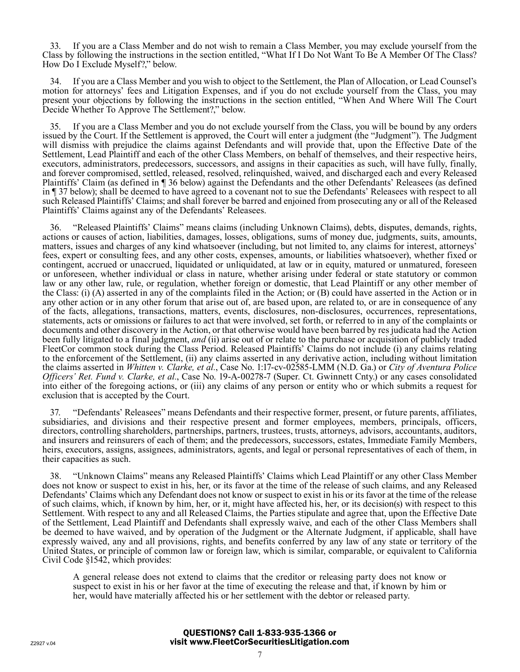33. If you are a Class Member and do not wish to remain a Class Member, you may exclude yourself from the Class by following the instructions in the section entitled, "What If I Do Not Want To Be A Member Of The Class? How Do I Exclude Myself?," below.

34. If you are a Class Member and you wish to object to the Settlement, the Plan of Allocation, or Lead Counsel's motion for attorneys' fees and Litigation Expenses, and if you do not exclude yourself from the Class, you may present your objections by following the instructions in the section entitled, "When And Where Will The Court Decide Whether To Approve The Settlement?," below.

35. If you are a Class Member and you do not exclude yourself from the Class, you will be bound by any orders issued by the Court. If the Settlement is approved, the Court will enter a judgment (the "Judgment"). The Judgment will dismiss with prejudice the claims against Defendants and will provide that, upon the Effective Date of the Settlement, Lead Plaintiff and each of the other Class Members, on behalf of themselves, and their respective heirs, executors, administrators, predecessors, successors, and assigns in their capacities as such, will have fully, finally, and forever compromised, settled, released, resolved, relinquished, waived, and discharged each and every Released Plaintiffs' Claim (as defined in ¶ 36 below) against the Defendants and the other Defendants' Releasees (as defined in ¶ 37 below); shall be deemed to have agreed to a covenant not to sue the Defendants' Releasees with respect to all such Released Plaintiffs' Claims; and shall forever be barred and enjoined from prosecuting any or all of the Released Plaintiffs' Claims against any of the Defendants' Releasees.

36. "Released Plaintiffs' Claims" means claims (including Unknown Claims), debts, disputes, demands, rights, actions or causes of action, liabilities, damages, losses, obligations, sums of money due, judgments, suits, amounts, matters, issues and charges of any kind whatsoever (including, but not limited to, any claims for interest, attorneys' fees, expert or consulting fees, and any other costs, expenses, amounts, or liabilities whatsoever), whether fixed or contingent, accrued or unaccrued, liquidated or unliquidated, at law or in equity, matured or unmatured, foreseen or unforeseen, whether individual or class in nature, whether arising under federal or state statutory or common law or any other law, rule, or regulation, whether foreign or domestic, that Lead Plaintiff or any other member of the Class: (i) (A) asserted in any of the complaints filed in the Action; or (B) could have asserted in the Action or in any other action or in any other forum that arise out of, are based upon, are related to, or are in consequence of any of the facts, allegations, transactions, matters, events, disclosures, non-disclosures, occurrences, representations, statements, acts or omissions or failures to act that were involved, set forth, or referred to in any of the complaints or documents and other discovery in the Action, or that otherwise would have been barred by res judicata had the Action been fully litigated to a final judgment, *and* (ii) arise out of or relate to the purchase or acquisition of publicly traded FleetCor common stock during the Class Period. Released Plaintiffs' Claims do not include (i) any claims relating to the enforcement of the Settlement, (ii) any claims asserted in any derivative action, including without limitation the claims asserted in *Whitten v. Clarke, et al.*, Case No. 1:17-cv-02585-LMM (N.D. Ga.) or *City of Aventura Police Officers' Ret. Fund v. Clarke, et al.*, Case No. 19-A-00278-7 (Super. Ct. Gwinnett Cnty.) or any cases consolidated into either of the foregoing actions, or (iii) any claims of any person or entity who or which submits a request for exclusion that is accepted by the Court.

37. "Defendants' Releasees" means Defendants and their respective former, present, or future parents, affiliates, subsidiaries, and divisions and their respective present and former employees, members, principals, officers, directors, controlling shareholders, partnerships, partners, trustees, trusts, attorneys, advisors, accountants, auditors, and insurers and reinsurers of each of them; and the predecessors, successors, estates, Immediate Family Members, heirs, executors, assigns, assignees, administrators, agents, and legal or personal representatives of each of them, in their capacities as such.

38. "Unknown Claims" means any Released Plaintiffs' Claims which Lead Plaintiff or any other Class Member does not know or suspect to exist in his, her, or its favor at the time of the release of such claims, and any Released Defendants' Claims which any Defendant does not know or suspect to exist in his or its favor at the time of the release of such claims, which, if known by him, her, or it, might have affected his, her, or its decision(s) with respect to this Settlement. With respect to any and all Released Claims, the Parties stipulate and agree that, upon the Effective Date of the Settlement, Lead Plaintiff and Defendants shall expressly waive, and each of the other Class Members shall be deemed to have waived, and by operation of the Judgment or the Alternate Judgment, if applicable, shall have expressly waived, any and all provisions, rights, and benefits conferred by any law of any state or territory of the United States, or principle of common law or foreign law, which is similar, comparable, or equivalent to California Civil Code §1542, which provides:

A general release does not extend to claims that the creditor or releasing party does not know or suspect to exist in his or her favor at the time of executing the release and that, if known by him or her, would have materially affected his or her settlement with the debtor or released party.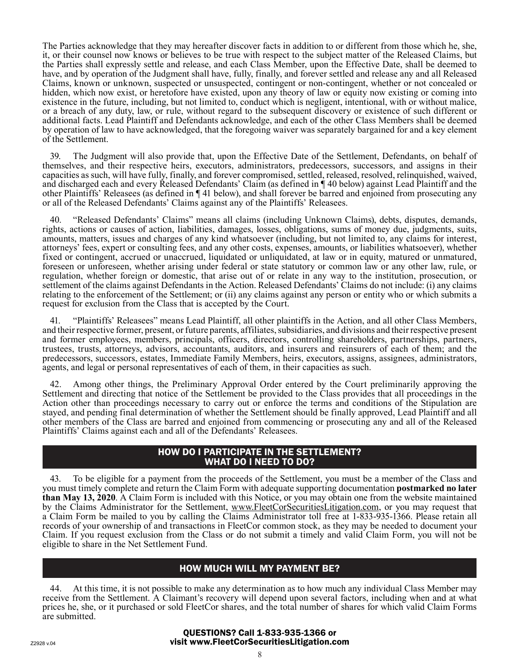The Parties acknowledge that they may hereafter discover facts in addition to or different from those which he, she, it, or their counsel now knows or believes to be true with respect to the subject matter of the Released Claims, but the Parties shall expressly settle and release, and each Class Member, upon the Effective Date, shall be deemed to have, and by operation of the Judgment shall have, fully, finally, and forever settled and release any and all Released Claims, known or unknown, suspected or unsuspected, contingent or non-contingent, whether or not concealed or hidden, which now exist, or heretofore have existed, upon any theory of law or equity now existing or coming into existence in the future, including, but not limited to, conduct which is negligent, intentional, with or without malice, or a breach of any duty, law, or rule, without regard to the subsequent discovery or existence of such different or additional facts. Lead Plaintiff and Defendants acknowledge, and each of the other Class Members shall be deemed by operation of law to have acknowledged, that the foregoing waiver was separately bargained for and a key element of the Settlement.

39. The Judgment will also provide that, upon the Effective Date of the Settlement, Defendants, on behalf of themselves, and their respective heirs, executors, administrators, predecessors, successors, and assigns in their capacities as such, will have fully, finally, and forever compromised, settled, released, resolved, relinquished, waived, and discharged each and every Released Defendants' Claim (as defined in ¶ 40 below) against Lead Plaintiff and the other Plaintiffs' Releasees (as defined in ¶ 41 below), and shall forever be barred and enjoined from prosecuting any or all of the Released Defendants' Claims against any of the Plaintiffs' Releasees.

40. "Released Defendants' Claims" means all claims (including Unknown Claims), debts, disputes, demands, rights, actions or causes of action, liabilities, damages, losses, obligations, sums of money due, judgments, suits, amounts, matters, issues and charges of any kind whatsoever (including, but not limited to, any claims for interest, attorneys' fees, expert or consulting fees, and any other costs, expenses, amounts, or liabilities whatsoever), whether fixed or contingent, accrued or unaccrued, liquidated or unliquidated, at law or in equity, matured or unmatured, foreseen or unforeseen, whether arising under federal or state statutory or common law or any other law, rule, or regulation, whether foreign or domestic, that arise out of or relate in any way to the institution, prosecution, or settlement of the claims against Defendants in the Action. Released Defendants' Claims do not include: (i) any claims relating to the enforcement of the Settlement; or (ii) any claims against any person or entity who or which submits a request for exclusion from the Class that is accepted by the Court.

41. "Plaintiffs' Releasees" means Lead Plaintiff, all other plaintiffs in the Action, and all other Class Members, and their respective former, present, or future parents, affiliates, subsidiaries, and divisions and their respective present and former employees, members, principals, officers, directors, controlling shareholders, partnerships, partners, trustees, trusts, attorneys, advisors, accountants, auditors, and insurers and reinsurers of each of them; and the predecessors, successors, estates, Immediate Family Members, heirs, executors, assigns, assignees, administrators, agents, and legal or personal representatives of each of them, in their capacities as such.

Among other things, the Preliminary Approval Order entered by the Court preliminarily approving the Settlement and directing that notice of the Settlement be provided to the Class provides that all proceedings in the Action other than proceedings necessary to carry out or enforce the terms and conditions of the Stipulation are stayed, and pending final determination of whether the Settlement should be finally approved, Lead Plaintiff and all other members of the Class are barred and enjoined from commencing or prosecuting any and all of the Released Plaintiffs' Claims against each and all of the Defendants' Releasees.

# HOW DO I PARTICIPATE IN THE SETTLEMENT? WHAT DO I NEED TO DO?

43. To be eligible for a payment from the proceeds of the Settlement, you must be a member of the Class and you must timely complete and return the Claim Form with adequate supporting documentation **postmarked no later than May 13, 2020**. A Claim Form is included with this Notice, or you may obtain one from the website maintained by the Claims Administrator for the Settlement, www.FleetCorSecuritiesLitigation.com, or you may request that a Claim Form be mailed to you by calling the Claims Administrator toll free at 1-833-935-1366. Please retain all records of your ownership of and transactions in FleetCor common stock, as they may be needed to document your Claim. If you request exclusion from the Class or do not submit a timely and valid Claim Form, you will not be eligible to share in the Net Settlement Fund.

# HOW MUCH WILL MY PAYMENT BE?

At this time, it is not possible to make any determination as to how much any individual Class Member may receive from the Settlement. A Claimant's recovery will depend upon several factors, including when and at what prices he, she, or it purchased or sold FleetCor shares, and the total number of shares for which valid Claim Forms are submitted.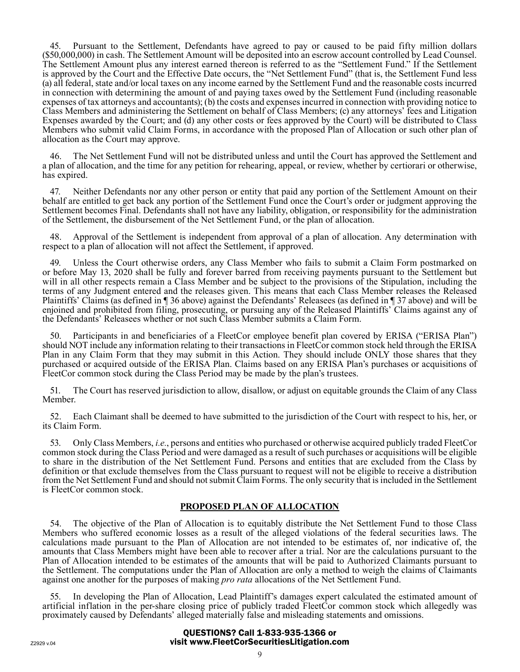45. Pursuant to the Settlement, Defendants have agreed to pay or caused to be paid fifty million dollars (\$50,000,000) in cash. The Settlement Amount will be deposited into an escrow account controlled by Lead Counsel. The Settlement Amount plus any interest earned thereon is referred to as the "Settlement Fund." If the Settlement is approved by the Court and the Effective Date occurs, the "Net Settlement Fund" (that is, the Settlement Fund less (a) all federal, state and/or local taxes on any income earned by the Settlement Fund and the reasonable costs incurred in connection with determining the amount of and paying taxes owed by the Settlement Fund (including reasonable expenses of tax attorneys and accountants); (b) the costs and expenses incurred in connection with providing notice to Class Members and administering the Settlement on behalf of Class Members; (c) any attorneys' fees and Litigation Expenses awarded by the Court; and (d) any other costs or fees approved by the Court) will be distributed to Class Members who submit valid Claim Forms, in accordance with the proposed Plan of Allocation or such other plan of allocation as the Court may approve.

46. The Net Settlement Fund will not be distributed unless and until the Court has approved the Settlement and a plan of allocation, and the time for any petition for rehearing, appeal, or review, whether by certiorari or otherwise, has expired.

47. Neither Defendants nor any other person or entity that paid any portion of the Settlement Amount on their behalf are entitled to get back any portion of the Settlement Fund once the Court's order or judgment approving the Settlement becomes Final. Defendants shall not have any liability, obligation, or responsibility for the administration of the Settlement, the disbursement of the Net Settlement Fund, or the plan of allocation.

48. Approval of the Settlement is independent from approval of a plan of allocation. Any determination with respect to a plan of allocation will not affect the Settlement, if approved.

Unless the Court otherwise orders, any Class Member who fails to submit a Claim Form postmarked on or before May 13, 2020 shall be fully and forever barred from receiving payments pursuant to the Settlement but will in all other respects remain a Class Member and be subject to the provisions of the Stipulation, including the terms of any Judgment entered and the releases given. This means that each Class Member releases the Released Plaintiffs' Claims (as defined in ¶ 36 above) against the Defendants' Releasees (as defined in ¶ 37 above) and will be enjoined and prohibited from filing, prosecuting, or pursuing any of the Released Plaintiffs' Claims against any of the Defendants' Releasees whether or not such Class Member submits a Claim Form.

50. Participants in and beneficiaries of a FleetCor employee benefit plan covered by ERISA ("ERISA Plan") should NOT include any information relating to their transactions in FleetCor common stock held through the ERISA Plan in any Claim Form that they may submit in this Action. They should include ONLY those shares that they purchased or acquired outside of the ERISA Plan. Claims based on any ERISA Plan's purchases or acquisitions of FleetCor common stock during the Class Period may be made by the plan's trustees.

51. The Court has reserved jurisdiction to allow, disallow, or adjust on equitable grounds the Claim of any Class Member.

52. Each Claimant shall be deemed to have submitted to the jurisdiction of the Court with respect to his, her, or its Claim Form.

53. Only Class Members, *i.e.*, persons and entities who purchased or otherwise acquired publicly traded FleetCor common stock during the Class Period and were damaged as a result of such purchases or acquisitions will be eligible to share in the distribution of the Net Settlement Fund. Persons and entities that are excluded from the Class by definition or that exclude themselves from the Class pursuant to request will not be eligible to receive a distribution from the Net Settlement Fund and should not submit Claim Forms. The only security that is included in the Settlement is FleetCor common stock.

# **PROPOSED PLAN OF ALLOCATION**

54. The objective of the Plan of Allocation is to equitably distribute the Net Settlement Fund to those Class Members who suffered economic losses as a result of the alleged violations of the federal securities laws. The calculations made pursuant to the Plan of Allocation are not intended to be estimates of, nor indicative of, the amounts that Class Members might have been able to recover after a trial. Nor are the calculations pursuant to the Plan of Allocation intended to be estimates of the amounts that will be paid to Authorized Claimants pursuant to the Settlement. The computations under the Plan of Allocation are only a method to weigh the claims of Claimants against one another for the purposes of making *pro rata* allocations of the Net Settlement Fund.

55. In developing the Plan of Allocation, Lead Plaintiff's damages expert calculated the estimated amount of artificial inflation in the per-share closing price of publicly traded FleetCor common stock which allegedly was proximately caused by Defendants' alleged materially false and misleading statements and omissions.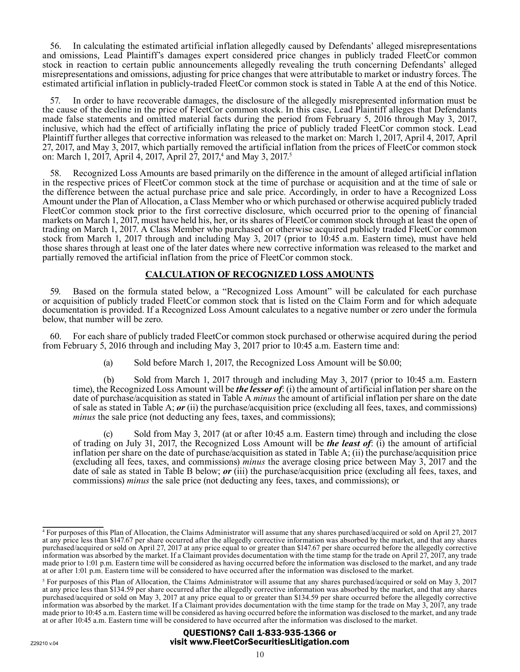56. In calculating the estimated artificial inflation allegedly caused by Defendants' alleged misrepresentations and omissions, Lead Plaintiff's damages expert considered price changes in publicly traded FleetCor common stock in reaction to certain public announcements allegedly revealing the truth concerning Defendants' alleged misrepresentations and omissions, adjusting for price changes that were attributable to market or industry forces. The estimated artificial inflation in publicly-traded FleetCor common stock is stated in Table A at the end of this Notice.

57. In order to have recoverable damages, the disclosure of the allegedly misrepresented information must be the cause of the decline in the price of FleetCor common stock. In this case, Lead Plaintiff alleges that Defendants made false statements and omitted material facts during the period from February 5, 2016 through May 3, 2017, inclusive, which had the effect of artificially inflating the price of publicly traded FleetCor common stock. Lead Plaintiff further alleges that corrective information was released to the market on: March 1, 2017, April 4, 2017, April 27, 2017, and May 3, 2017, which partially removed the artificial inflation from the prices of FleetCor common stock on: March 1, 2017, April 4, 2017, April 27, 2017,<sup>4</sup> and May 3, 2017.<sup>5</sup>

58. Recognized Loss Amounts are based primarily on the difference in the amount of alleged artificial inflation in the respective prices of FleetCor common stock at the time of purchase or acquisition and at the time of sale or the difference between the actual purchase price and sale price. Accordingly, in order to have a Recognized Loss Amount under the Plan of Allocation, a Class Member who or which purchased or otherwise acquired publicly traded FleetCor common stock prior to the first corrective disclosure, which occurred prior to the opening of financial markets on March 1, 2017, must have held his, her, or its shares of FleetCor common stock through at least the open of trading on March 1, 2017. A Class Member who purchased or otherwise acquired publicly traded FleetCor common stock from March 1, 2017 through and including May 3, 2017 (prior to 10:45 a.m. Eastern time), must have held those shares through at least one of the later dates where new corrective information was released to the market and partially removed the artificial inflation from the price of FleetCor common stock.

# **CALCULATION OF RECOGNIZED LOSS AMOUNTS**

59. Based on the formula stated below, a "Recognized Loss Amount" will be calculated for each purchase or acquisition of publicly traded FleetCor common stock that is listed on the Claim Form and for which adequate documentation is provided. If a Recognized Loss Amount calculates to a negative number or zero under the formula below, that number will be zero.

60. For each share of publicly traded FleetCor common stock purchased or otherwise acquired during the period from February 5, 2016 through and including May 3, 2017 prior to 10:45 a.m. Eastern time and:

(a) Sold before March 1, 2017, the Recognized Loss Amount will be \$0.00;

(b) Sold from March 1, 2017 through and including May 3, 2017 (prior to 10:45 a.m. Eastern time), the Recognized Loss Amount will be *the lesser of*: (i) the amount of artificial inflation per share on the date of purchase/acquisition as stated in Table A *minus* the amount of artificial inflation per share on the date of sale as stated in Table A; *or* (ii) the purchase/acquisition price (excluding all fees, taxes, and commissions) *minus* the sale price (not deducting any fees, taxes, and commissions);

Sold from May 3, 2017 (at or after 10:45 a.m. Eastern time) through and including the close of trading on July 31, 2017, the Recognized Loss Amount will be *the least of*: (i) the amount of artificial inflation per share on the date of purchase/acquisition as stated in Table A; (ii) the purchase/acquisition price (excluding all fees, taxes, and commissions) *minus* the average closing price between May 3, 2017 and the date of sale as stated in Table B below; *or* (iii) the purchase/acquisition price (excluding all fees, taxes, and commissions) *minus* the sale price (not deducting any fees, taxes, and commissions); or

<sup>4</sup> For purposes of this Plan of Allocation, the Claims Administrator will assume that any shares purchased/acquired or sold on April 27, 2017 at any price less than \$147.67 per share occurred after the allegedly corrective information was absorbed by the market, and that any shares purchased/acquired or sold on April 27, 2017 at any price equal to or greater than \$147.67 per share occurred before the allegedly corrective information was absorbed by the market. If a Claimant provides documentation with the time stamp for the trade on April 27, 2017, any trade made prior to 1:01 p.m. Eastern time will be considered as having occurred before the information was disclosed to the market, and any trade at or after 1:01 p.m. Eastern time will be considered to have occurred after the information was disclosed to the market.

<sup>&</sup>lt;sup>5</sup> For purposes of this Plan of Allocation, the Claims Administrator will assume that any shares purchased/acquired or sold on May 3, 2017 at any price less than \$134.59 per share occurred after the allegedly corrective information was absorbed by the market, and that any shares purchased/acquired or sold on May 3, 2017 at any price equal to or greater than \$134.59 per share occurred before the allegedly corrective information was absorbed by the market. If a Claimant provides documentation with the time stamp for the trade on May 3, 2017, any trade made prior to 10:45 a.m. Eastern time will be considered as having occurred before the information was disclosed to the market, and any trade at or after 10:45 a.m. Eastern time will be considered to have occurred after the information was disclosed to the market.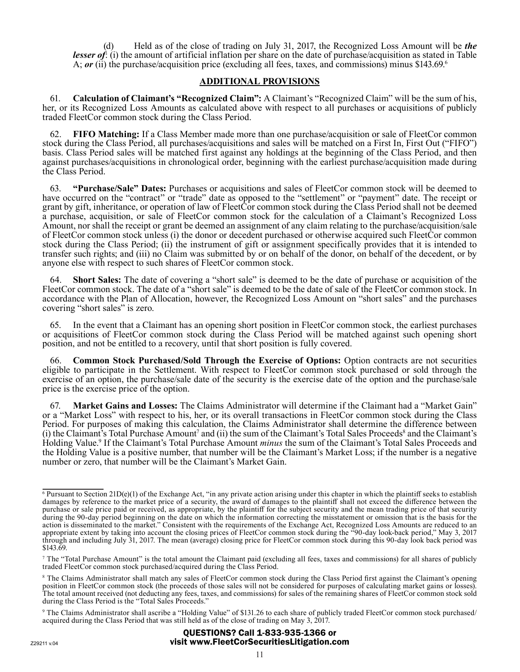(d) Held as of the close of trading on July 31, 2017, the Recognized Loss Amount will be *the lesser of*: (i) the amount of artificial inflation per share on the date of purchase/acquisition as stated in Table A; *or* (ii) the purchase/acquisition price (excluding all fees, taxes, and commissions) minus \$143.69.6

### **ADDITIONAL PROVISIONS**

61. **Calculation of Claimant's "Recognized Claim":** A Claimant's "Recognized Claim" will be the sum of his, her, or its Recognized Loss Amounts as calculated above with respect to all purchases or acquisitions of publicly traded FleetCor common stock during the Class Period.

62. **FIFO Matching:** If a Class Member made more than one purchase/acquisition or sale of FleetCor common stock during the Class Period, all purchases/acquisitions and sales will be matched on a First In, First Out ("FIFO") basis. Class Period sales will be matched first against any holdings at the beginning of the Class Period, and then against purchases/acquisitions in chronological order, beginning with the earliest purchase/acquisition made during the Class Period.

63. **"Purchase/Sale" Dates:** Purchases or acquisitions and sales of FleetCor common stock will be deemed to have occurred on the "contract" or "trade" date as opposed to the "settlement" or "payment" date. The receipt or grant by gift, inheritance, or operation of law of FleetCor common stock during the Class Period shall not be deemed a purchase, acquisition, or sale of FleetCor common stock for the calculation of a Claimant's Recognized Loss Amount, nor shall the receipt or grant be deemed an assignment of any claim relating to the purchase/acquisition/sale of FleetCor common stock unless (i) the donor or decedent purchased or otherwise acquired such FleetCor common stock during the Class Period; (ii) the instrument of gift or assignment specifically provides that it is intended to transfer such rights; and (iii) no Claim was submitted by or on behalf of the donor, on behalf of the decedent, or by anyone else with respect to such shares of FleetCor common stock.

64. **Short Sales:** The date of covering a "short sale" is deemed to be the date of purchase or acquisition of the FleetCor common stock. The date of a "short sale" is deemed to be the date of sale of the FleetCor common stock. In accordance with the Plan of Allocation, however, the Recognized Loss Amount on "short sales" and the purchases covering "short sales" is zero.

65. In the event that a Claimant has an opening short position in FleetCor common stock, the earliest purchases or acquisitions of FleetCor common stock during the Class Period will be matched against such opening short position, and not be entitled to a recovery, until that short position is fully covered.

66. **Common Stock Purchased/Sold Through the Exercise of Options:** Option contracts are not securities eligible to participate in the Settlement. With respect to FleetCor common stock purchased or sold through the exercise of an option, the purchase/sale date of the security is the exercise date of the option and the purchase/sale price is the exercise price of the option.

67. **Market Gains and Losses:** The Claims Administrator will determine if the Claimant had a "Market Gain" or a "Market Loss" with respect to his, her, or its overall transactions in FleetCor common stock during the Class Period. For purposes of making this calculation, the Claims Administrator shall determine the difference between  $(i)$  the Claimant's Total Purchase Amount<sup>7</sup> and  $(ii)$  the sum of the Claimant's Total Sales Proceeds<sup>8</sup> and the Claimant's Holding Value.<sup>9</sup> If the Claimant's Total Purchase Amount *minus* the sum of the Claimant's Total Sales Proceeds and the Holding Value is a positive number, that number will be the Claimant's Market Loss; if the number is a negative number or zero, that number will be the Claimant's Market Gain.

 $6$  Pursuant to Section 21D(e)(1) of the Exchange Act, "in any private action arising under this chapter in which the plaintiff seeks to establish damages by reference to the market price of a security, the award of damages to the plaintiff shall not exceed the difference between the purchase or sale price paid or received, as appropriate, by the plaintiff for the subject security and the mean trading price of that security during the 90-day period beginning on the date on which the information correcting the misstatement or omission that is the basis for the action is disseminated to the market." Consistent with the requirements of the Exchange Act, Recognized Loss Amounts are reduced to an appropriate extent by taking into account the closing prices of FleetCor common stock during the "90-day look-back period," May 3, 2017 through and including July 31, 2017. The mean (average) closing price for FleetCor common stock during this 90-day look back period was \$143.69.

<sup>7</sup> The "Total Purchase Amount" is the total amount the Claimant paid (excluding all fees, taxes and commissions) for all shares of publicly traded FleetCor common stock purchased/acquired during the Class Period.

<sup>&</sup>lt;sup>8</sup> The Claims Administrator shall match any sales of FleetCor common stock during the Class Period first against the Claimant's opening position in FleetCor common stock (the proceeds of those sales will not be considered for purposes of calculating market gains or losses). The total amount received (not deducting any fees, taxes, and commissions) for sales of the remaining shares of FleetCor common stock sold during the Class Period is the "Total Sales Proceeds."

<sup>9</sup> The Claims Administrator shall ascribe a "Holding Value" of \$131.26 to each share of publicly traded FleetCor common stock purchased/ acquired during the Class Period that was still held as of the close of trading on May 3, 2017.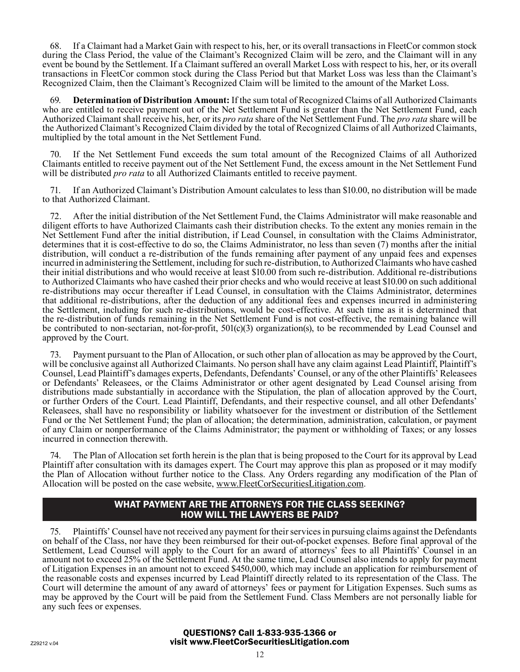68. If a Claimant had a Market Gain with respect to his, her, or its overall transactions in FleetCor common stock during the Class Period, the value of the Claimant's Recognized Claim will be zero, and the Claimant will in any event be bound by the Settlement. If a Claimant suffered an overall Market Loss with respect to his, her, or its overall transactions in FleetCor common stock during the Class Period but that Market Loss was less than the Claimant's Recognized Claim, then the Claimant's Recognized Claim will be limited to the amount of the Market Loss.

69. **Determination of Distribution Amount:** If the sum total of Recognized Claims of all Authorized Claimants who are entitled to receive payment out of the Net Settlement Fund is greater than the Net Settlement Fund, each Authorized Claimant shall receive his, her, or its *pro rata* share of the Net Settlement Fund. The *pro rata* share will be the Authorized Claimant's Recognized Claim divided by the total of Recognized Claims of all Authorized Claimants, multiplied by the total amount in the Net Settlement Fund.

If the Net Settlement Fund exceeds the sum total amount of the Recognized Claims of all Authorized Claimants entitled to receive payment out of the Net Settlement Fund, the excess amount in the Net Settlement Fund will be distributed *pro rata* to all Authorized Claimants entitled to receive payment.

71. If an Authorized Claimant's Distribution Amount calculates to less than \$10.00, no distribution will be made to that Authorized Claimant.

72. After the initial distribution of the Net Settlement Fund, the Claims Administrator will make reasonable and diligent efforts to have Authorized Claimants cash their distribution checks. To the extent any monies remain in the Net Settlement Fund after the initial distribution, if Lead Counsel, in consultation with the Claims Administrator, determines that it is cost-effective to do so, the Claims Administrator, no less than seven (7) months after the initial distribution, will conduct a re-distribution of the funds remaining after payment of any unpaid fees and expenses incurred in administering the Settlement, including for such re-distribution, to Authorized Claimants who have cashed their initial distributions and who would receive at least \$10.00 from such re-distribution. Additional re-distributions to Authorized Claimants who have cashed their prior checks and who would receive at least \$10.00 on such additional re-distributions may occur thereafter if Lead Counsel, in consultation with the Claims Administrator, determines that additional re-distributions, after the deduction of any additional fees and expenses incurred in administering the Settlement, including for such re-distributions, would be cost-effective. At such time as it is determined that the re-distribution of funds remaining in the Net Settlement Fund is not cost-effective, the remaining balance will be contributed to non-sectarian, not-for-profit, 501(c)(3) organization(s), to be recommended by Lead Counsel and approved by the Court.

73. Payment pursuant to the Plan of Allocation, or such other plan of allocation as may be approved by the Court, will be conclusive against all Authorized Claimants. No person shall have any claim against Lead Plaintiff, Plaintiff's Counsel, Lead Plaintiff's damages experts, Defendants, Defendants' Counsel, or any of the other Plaintiffs' Releasees or Defendants' Releasees, or the Claims Administrator or other agent designated by Lead Counsel arising from distributions made substantially in accordance with the Stipulation, the plan of allocation approved by the Court, or further Orders of the Court. Lead Plaintiff, Defendants, and their respective counsel, and all other Defendants' Releasees, shall have no responsibility or liability whatsoever for the investment or distribution of the Settlement Fund or the Net Settlement Fund; the plan of allocation; the determination, administration, calculation, or payment of any Claim or nonperformance of the Claims Administrator; the payment or withholding of Taxes; or any losses incurred in connection therewith.

74. The Plan of Allocation set forth herein is the plan that is being proposed to the Court for its approval by Lead Plaintiff after consultation with its damages expert. The Court may approve this plan as proposed or it may modify the Plan of Allocation without further notice to the Class. Any Orders regarding any modification of the Plan of Allocation will be posted on the case website, www.FleetCorSecuritiesLitigation.com.

# WHAT PAYMENT ARE THE ATTORNEYS FOR THE CLASS SEEKING? HOW WILL THE LAWYERS BE PAID?

Plaintiffs' Counsel have not received any payment for their services in pursuing claims against the Defendants on behalf of the Class, nor have they been reimbursed for their out-of-pocket expenses. Before final approval of the Settlement, Lead Counsel will apply to the Court for an award of attorneys' fees to all Plaintiffs' Counsel in an amount not to exceed 25% of the Settlement Fund. At the same time, Lead Counsel also intends to apply for payment of Litigation Expenses in an amount not to exceed \$450,000, which may include an application for reimbursement of the reasonable costs and expenses incurred by Lead Plaintiff directly related to its representation of the Class. The Court will determine the amount of any award of attorneys' fees or payment for Litigation Expenses. Such sums as may be approved by the Court will be paid from the Settlement Fund. Class Members are not personally liable for any such fees or expenses.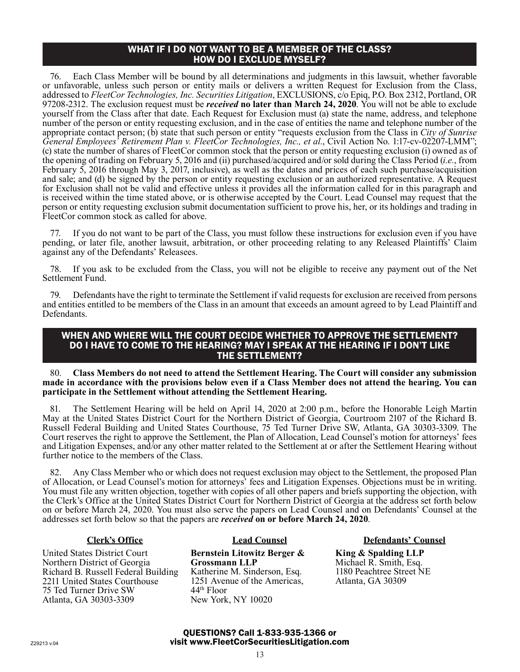### WHAT IF I DO NOT WANT TO BE A MEMBER OF THE CLASS? HOW DO I EXCLUDE MYSELF?

76. Each Class Member will be bound by all determinations and judgments in this lawsuit, whether favorable or unfavorable, unless such person or entity mails or delivers a written Request for Exclusion from the Class, addressed to *FleetCor Technologies, Inc. Securities Litigation*, EXCLUSIONS, c/o Epiq, P.O. Box 2312, Portland, OR 97208-2312. The exclusion request must be *received* **no later than March 24, 2020**. You will not be able to exclude yourself from the Class after that date. Each Request for Exclusion must (a) state the name, address, and telephone number of the person or entity requesting exclusion, and in the case of entities the name and telephone number of the appropriate contact person; (b) state that such person or entity "requests exclusion from the Class in *City of Sunrise General Employees' Retirement Plan v. FleetCor Technologies, Inc., et al.*, Civil Action No. 1:17-cv-02207-LMM"; (c) state the number of shares of FleetCor common stock that the person or entity requesting exclusion (i) owned as of the opening of trading on February 5, 2016 and (ii) purchased/acquired and/or sold during the Class Period (*i.e.*, from February 5, 2016 through May 3, 2017, inclusive), as well as the dates and prices of each such purchase/acquisition and sale; and (d) be signed by the person or entity requesting exclusion or an authorized representative. A Request for Exclusion shall not be valid and effective unless it provides all the information called for in this paragraph and is received within the time stated above, or is otherwise accepted by the Court. Lead Counsel may request that the person or entity requesting exclusion submit documentation sufficient to prove his, her, or its holdings and trading in FleetCor common stock as called for above.

If you do not want to be part of the Class, you must follow these instructions for exclusion even if you have pending, or later file, another lawsuit, arbitration, or other proceeding relating to any Released Plaintiffs' Claim against any of the Defendants' Releasees.

78. If you ask to be excluded from the Class, you will not be eligible to receive any payment out of the Net Settlement Fund.

79. Defendants have the right to terminate the Settlement if valid requests for exclusion are received from persons and entities entitled to be members of the Class in an amount that exceeds an amount agreed to by Lead Plaintiff and Defendants.

## WHEN AND WHERE WILL THE COURT DECIDE WHETHER TO APPROVE THE SETTLEMENT? DO I HAVE TO COME TO THE HEARING? MAY I SPEAK AT THE HEARING IF I DON'T LIKE THE SETTLEMENT?

#### 80. **Class Members do not need to attend the Settlement Hearing. The Court will consider any submission made in accordance with the provisions below even if a Class Member does not attend the hearing. You can participate in the Settlement without attending the Settlement Hearing.**

81. The Settlement Hearing will be held on April 14, 2020 at 2:00 p.m., before the Honorable Leigh Martin May at the United States District Court for the Northern District of Georgia, Courtroom 2107 of the Richard B. Russell Federal Building and United States Courthouse, 75 Ted Turner Drive SW, Atlanta, GA 30303-3309. The Court reserves the right to approve the Settlement, the Plan of Allocation, Lead Counsel's motion for attorneys' fees and Litigation Expenses, and/or any other matter related to the Settlement at or after the Settlement Hearing without further notice to the members of the Class.

Any Class Member who or which does not request exclusion may object to the Settlement, the proposed Plan of Allocation, or Lead Counsel's motion for attorneys' fees and Litigation Expenses. Objections must be in writing. You must file any written objection, together with copies of all other papers and briefs supporting the objection, with the Clerk's Office at the United States District Court for Northern District of Georgia at the address set forth below on or before March 24, 2020. You must also serve the papers on Lead Counsel and on Defendants' Counsel at the addresses set forth below so that the papers are *received* **on or before March 24, 2020**.

United States District Court Northern District of Georgia Richard B. Russell Federal Building 2211 United States Courthouse 75 Ted Turner Drive SW Atlanta, GA 30303-3309

**Bernstein Litowitz Berger & Grossmann LLP** Katherine M. Sinderson, Esq. 1251 Avenue of the Americas, 44th Floor New York, NY 10020

**Clerk's Office Lead Counsel Defendants' Counsel**

**King & Spalding LLP** Michael R. Smith, Esq. 1180 Peachtree Street NE Atlanta, GA 30309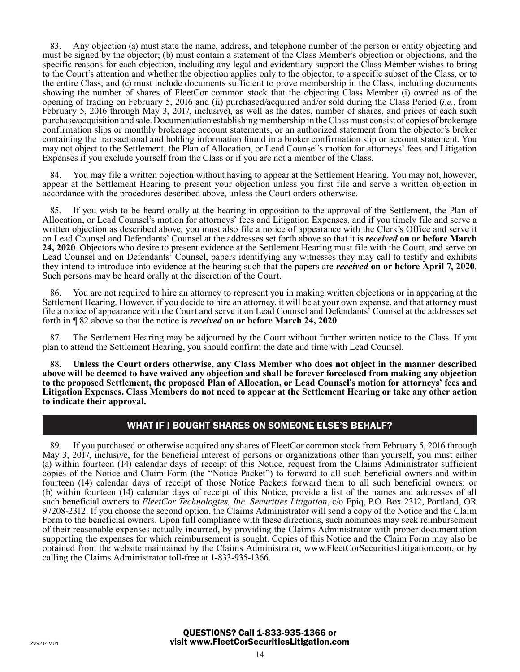83. Any objection (a) must state the name, address, and telephone number of the person or entity objecting and must be signed by the objector; (b) must contain a statement of the Class Member's objection or objections, and the specific reasons for each objection, including any legal and evidentiary support the Class Member wishes to bring to the Court's attention and whether the objection applies only to the objector, to a specific subset of the Class, or to the entire Class; and (c) must include documents sufficient to prove membership in the Class, including documents showing the number of shares of FleetCor common stock that the objecting Class Member (i) owned as of the opening of trading on February 5, 2016 and (ii) purchased/acquired and/or sold during the Class Period (*i.e.*, from February 5, 2016 through May 3, 2017, inclusive), as well as the dates, number of shares, and prices of each such purchase/acquisition and sale. Documentation establishing membership in the Class must consist of copies of brokerage confirmation slips or monthly brokerage account statements, or an authorized statement from the objector's broker containing the transactional and holding information found in a broker confirmation slip or account statement. You may not object to the Settlement, the Plan of Allocation, or Lead Counsel's motion for attorneys' fees and Litigation Expenses if you exclude yourself from the Class or if you are not a member of the Class.

84. You may file a written objection without having to appear at the Settlement Hearing. You may not, however, appear at the Settlement Hearing to present your objection unless you first file and serve a written objection in accordance with the procedures described above, unless the Court orders otherwise.

If you wish to be heard orally at the hearing in opposition to the approval of the Settlement, the Plan of Allocation, or Lead Counsel's motion for attorneys' fees and Litigation Expenses, and if you timely file and serve a written objection as described above, you must also file a notice of appearance with the Clerk's Office and serve it on Lead Counsel and Defendants' Counsel at the addresses set forth above so that it is *received* **on or before March 24, 2020**. Objectors who desire to present evidence at the Settlement Hearing must file with the Court, and serve on Lead Counsel and on Defendants' Counsel, papers identifying any witnesses they may call to testify and exhibits they intend to introduce into evidence at the hearing such that the papers are *received* **on or before April 7, 2020**. Such persons may be heard orally at the discretion of the Court.

86. You are not required to hire an attorney to represent you in making written objections or in appearing at the Settlement Hearing. However, if you decide to hire an attorney, it will be at your own expense, and that attorney must file a notice of appearance with the Court and serve it on Lead Counsel and Defendants' Counsel at the addresses set forth in ¶ 82 above so that the notice is *received* **on or before March 24, 2020**.

The Settlement Hearing may be adjourned by the Court without further written notice to the Class. If you plan to attend the Settlement Hearing, you should confirm the date and time with Lead Counsel.

88. **Unless the Court orders otherwise, any Class Member who does not object in the manner described above will be deemed to have waived any objection and shall be forever foreclosed from making any objection to the proposed Settlement, the proposed Plan of Allocation, or Lead Counsel's motion for attorneys' fees and Litigation Expenses. Class Members do not need to appear at the Settlement Hearing or take any other action to indicate their approval.**

# WHAT IF I BOUGHT SHARES ON SOMEONE ELSE'S BEHALF?

If you purchased or otherwise acquired any shares of FleetCor common stock from February 5, 2016 through May 3, 2017, inclusive, for the beneficial interest of persons or organizations other than yourself, you must either (a) within fourteen (14) calendar days of receipt of this Notice, request from the Claims Administrator sufficient copies of the Notice and Claim Form (the "Notice Packet") to forward to all such beneficial owners and within fourteen (14) calendar days of receipt of those Notice Packets forward them to all such beneficial owners; or (b) within fourteen (14) calendar days of receipt of this Notice, provide a list of the names and addresses of all such beneficial owners to *FleetCor Technologies, Inc. Securities Litigation*, c/o Epiq, P.O. Box 2312, Portland, OR 97208-2312. If you choose the second option, the Claims Administrator will send a copy of the Notice and the Claim Form to the beneficial owners. Upon full compliance with these directions, such nominees may seek reimbursement of their reasonable expenses actually incurred, by providing the Claims Administrator with proper documentation supporting the expenses for which reimbursement is sought. Copies of this Notice and the Claim Form may also be obtained from the website maintained by the Claims Administrator, www.FleetCorSecuritiesLitigation.com, or by calling the Claims Administrator toll-free at 1-833-935-1366.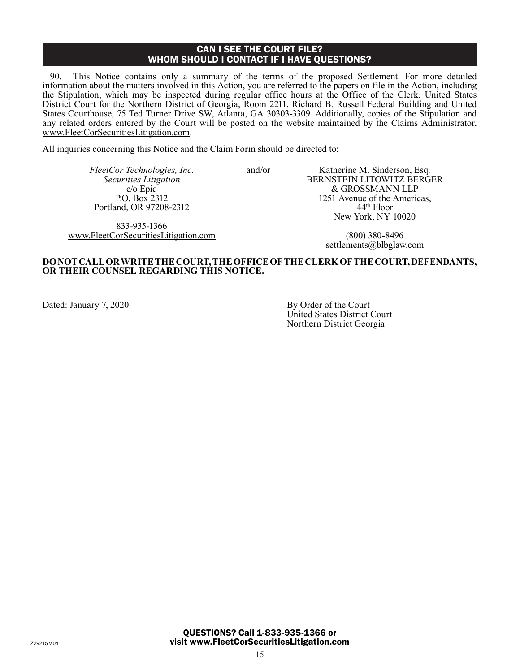# CAN I SEE THE COURT FILE? WHOM SHOULD I CONTACT IF I HAVE QUESTIONS?

90. This Notice contains only a summary of the terms of the proposed Settlement. For more detailed information about the matters involved in this Action, you are referred to the papers on file in the Action, including the Stipulation, which may be inspected during regular office hours at the Office of the Clerk, United States District Court for the Northern District of Georgia, Room 2211, Richard B. Russell Federal Building and United States Courthouse, 75 Ted Turner Drive SW, Atlanta, GA 30303-3309. Additionally, copies of the Stipulation and any related orders entered by the Court will be posted on the website maintained by the Claims Administrator, www.FleetCorSecuritiesLitigation.com.

All inquiries concerning this Notice and the Claim Form should be directed to:

*FleetCor Technologies, Inc. Securities Litigation*  c/o Epiq P.O. Box 2312 Portland, OR 97208-2312

833-935-1366 www.FleetCorSecuritiesLitigation.com and/or Katherine M. Sinderson, Esq. BERNSTEIN LITOWITZ BERGER & GROSSMANN LLP 1251 Avenue of the Americas, 44th Floor New York, NY 10020

> (800) 380-8496 settlements@blbglaw.com

# **DO NOT CALL OR WRITE THE COURT, THE OFFICE OF THE CLERK OF THE COURT, DEFENDANTS, OR THEIR COUNSEL REGARDING THIS NOTICE.**

Dated: January 7, 2020 By Order of the Court

 United States District Court Northern District Georgia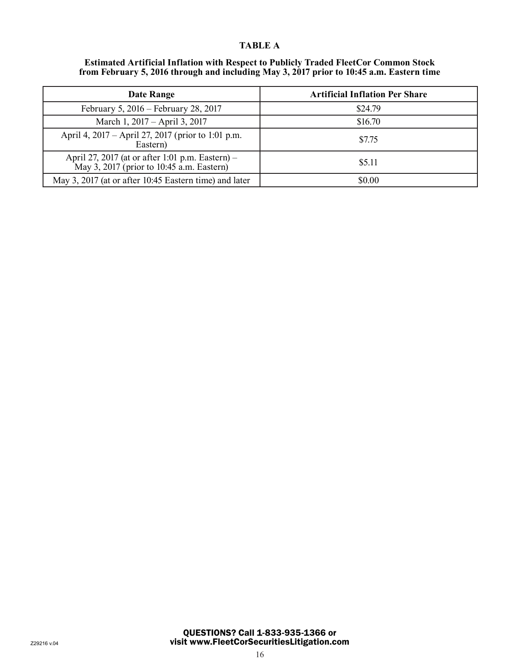#### **TABLE A**

#### **Estimated Artificial Inflation with Respect to Publicly Traded FleetCor Common Stock from February 5, 2016 through and including May 3, 2017 prior to 10:45 a.m. Eastern time**

| Date Range                                                                                    | <b>Artificial Inflation Per Share</b> |  |  |
|-----------------------------------------------------------------------------------------------|---------------------------------------|--|--|
| February 5, $2016$ – February 28, 2017                                                        | \$24.79                               |  |  |
| March 1, 2017 – April 3, 2017                                                                 | \$16.70                               |  |  |
| April 4, 2017 – April 27, 2017 (prior to 1:01 p.m.<br>Eastern)                                | \$7.75                                |  |  |
| April 27, 2017 (at or after 1:01 p.m. Eastern) -<br>May 3, 2017 (prior to 10:45 a.m. Eastern) | \$5.11                                |  |  |
| May 3, 2017 (at or after 10:45 Eastern time) and later                                        | \$0.00                                |  |  |